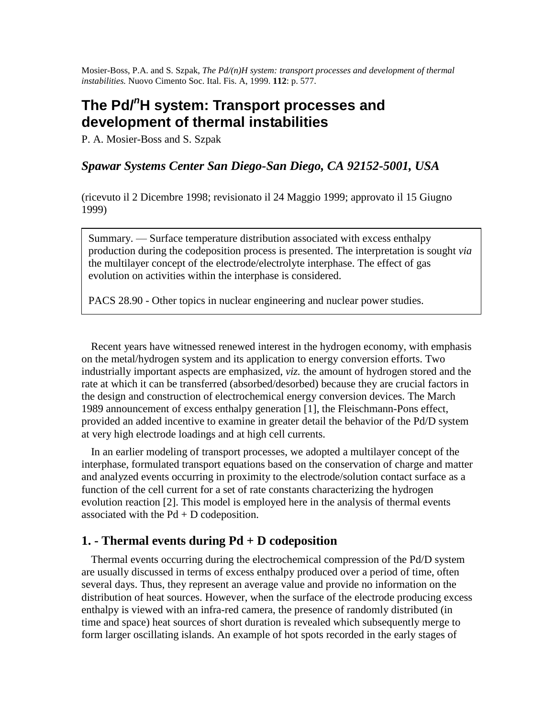Mosier-Boss, P.A. and S. Szpak, *The Pd/(n)H system: transport processes and development of thermal instabilities.* Nuovo Cimento Soc. Ital. Fis. A, 1999. **112**: p. 577.

# **The Pd/***<sup>n</sup>***H system: Transport processes and development of thermal instabilities**

P. A. Mosier-Boss and S. Szpak

# *Spawar Systems Center San Diego-San Diego, CA 92152-5001, USA*

(ricevuto il 2 Dicembre 1998; revisionato il 24 Maggio 1999; approvato il 15 Giugno 1999)

Summary. — Surface temperature distribution associated with excess enthalpy production during the codeposition process is presented. The interpretation is sought *via* the multilayer concept of the electrode/electrolyte interphase. The effect of gas evolution on activities within the interphase is considered.

PACS 28.90 - Other topics in nuclear engineering and nuclear power studies.

Recent years have witnessed renewed interest in the hydrogen economy, with emphasis on the metal/hydrogen system and its application to energy conversion efforts. Two industrially important aspects are emphasized, *viz.* the amount of hydrogen stored and the rate at which it can be transferred (absorbed/desorbed) because they are crucial factors in the design and construction of electrochemical energy conversion devices. The March 1989 announcement of excess enthalpy generation [1], the Fleischmann-Pons effect, provided an added incentive to examine in greater detail the behavior of the Pd/D system at very high electrode loadings and at high cell currents.

In an earlier modeling of transport processes, we adopted a multilayer concept of the interphase, formulated transport equations based on the conservation of charge and matter and analyzed events occurring in proximity to the electrode/solution contact surface as a function of the cell current for a set of rate constants characterizing the hydrogen evolution reaction [2]. This model is employed here in the analysis of thermal events associated with the  $Pd + D$  codeposition.

#### **1. - Thermal events during Pd + D codeposition**

Thermal events occurring during the electrochemical compression of the Pd/D system are usually discussed in terms of excess enthalpy produced over a period of time, often several days. Thus, they represent an average value and provide no information on the distribution of heat sources. However, when the surface of the electrode producing excess enthalpy is viewed with an infra-red camera, the presence of randomly distributed (in time and space) heat sources of short duration is revealed which subsequently merge to form larger oscillating islands. An example of hot spots recorded in the early stages of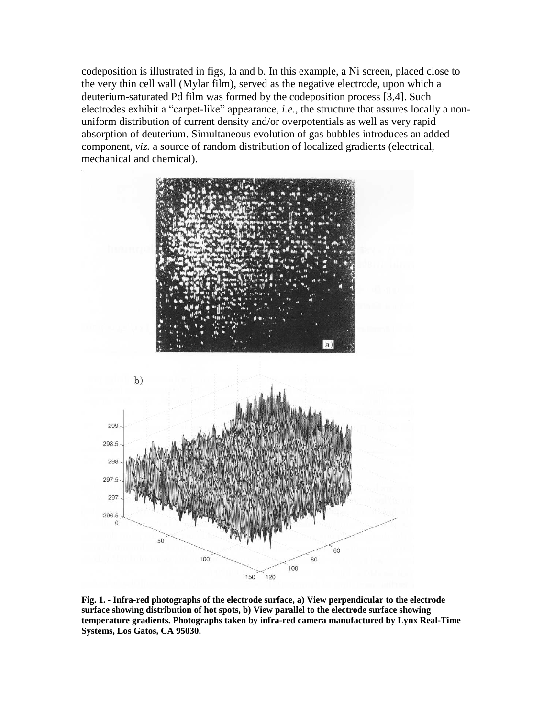codeposition is illustrated in figs, la and b. In this example, a Ni screen, placed close to the very thin cell wall (Mylar film), served as the negative electrode, upon which a deuterium-saturated Pd film was formed by the codeposition process [3,4]. Such electrodes exhibit a "carpet-like" appearance, *i.e.*, the structure that assures locally a nonuniform distribution of current density and/or overpotentials as well as very rapid absorption of deuterium. Simultaneous evolution of gas bubbles introduces an added component, *viz.* a source of random distribution of localized gradients (electrical, mechanical and chemical).



**Fig. 1. - Infra-red photographs of the electrode surface, a) View perpendicular to the electrode surface showing distribution of hot spots, b) View parallel to the electrode surface showing temperature gradients. Photographs taken by infra-red camera manufactured by Lynx Real-Time Systems, Los Gatos, CA 95030.**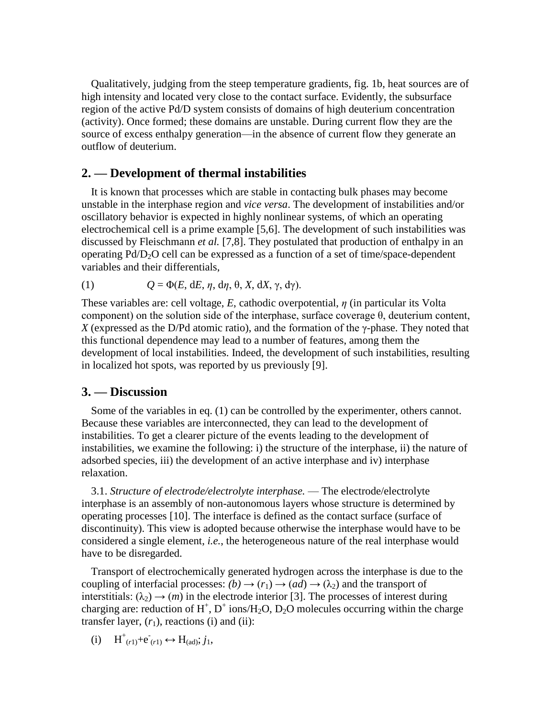Qualitatively, judging from the steep temperature gradients, fig. 1b, heat sources are of high intensity and located very close to the contact surface. Evidently, the subsurface region of the active Pd/D system consists of domains of high deuterium concentration (activity). Once formed; these domains are unstable. During current flow they are the source of excess enthalpy generation—in the absence of current flow they generate an outflow of deuterium.

# **2. — Development of thermal instabilities**

It is known that processes which are stable in contacting bulk phases may become unstable in the interphase region and *vice versa*. The development of instabilities and/or oscillatory behavior is expected in highly nonlinear systems, of which an operating electrochemical cell is a prime example [5,6]. The development of such instabilities was discussed by Fleischmann *et al.* [7,8]. They postulated that production of enthalpy in an operating Pd/D2O cell can be expressed as a function of a set of time/space-dependent variables and their differentials,

(1) 
$$
Q = \Phi(E, dE, \eta, d\eta, \theta, X, dX, \gamma, d\gamma).
$$

These variables are: cell voltage, *E*, cathodic overpotential, *η*(in particular its Volta component) on the solution side of the interphase, surface coverage  $\theta$ , deuterium content, *X* (expressed as the D/Pd atomic ratio), and the formation of the  $\gamma$ -phase. They noted that this functional dependence may lead to a number of features, among them the development of local instabilities. Indeed, the development of such instabilities, resulting in localized hot spots, was reported by us previously [9].

# **3. — Discussion**

Some of the variables in eq. (1) can be controlled by the experimenter, others cannot. Because these variables are interconnected, they can lead to the development of instabilities. To get a clearer picture of the events leading to the development of instabilities, we examine the following: i) the structure of the interphase, ii) the nature of adsorbed species, iii) the development of an active interphase and iv) interphase relaxation.

3.1. *Structure of electrode/electrolyte interphase.* — The electrode/electrolyte interphase is an assembly of non-autonomous layers whose structure is determined by operating processes [10]. The interface is defined as the contact surface (surface of discontinuity). This view is adopted because otherwise the interphase would have to be considered a single element, *i.e.*, the heterogeneous nature of the real interphase would have to be disregarded.

Transport of electrochemically generated hydrogen across the interphase is due to the coupling of interfacial processes:  $(b) \rightarrow (r_1) \rightarrow (ad) \rightarrow (\lambda_2)$  and the transport of interstitials:  $(\lambda_2) \rightarrow (m)$  in the electrode interior [3]. The processes of interest during charging are: reduction of H<sup>+</sup>, D<sup>+</sup> ions/H<sub>2</sub>O, D<sub>2</sub>O molecules occurring within the charge transfer layer,  $(r_1)$ , reactions (i) and (ii):

 $(i)$   $H^+(r_1) + e^-(r_1) \leftrightarrow H^-(r_2)$ ;  $j_1$ ,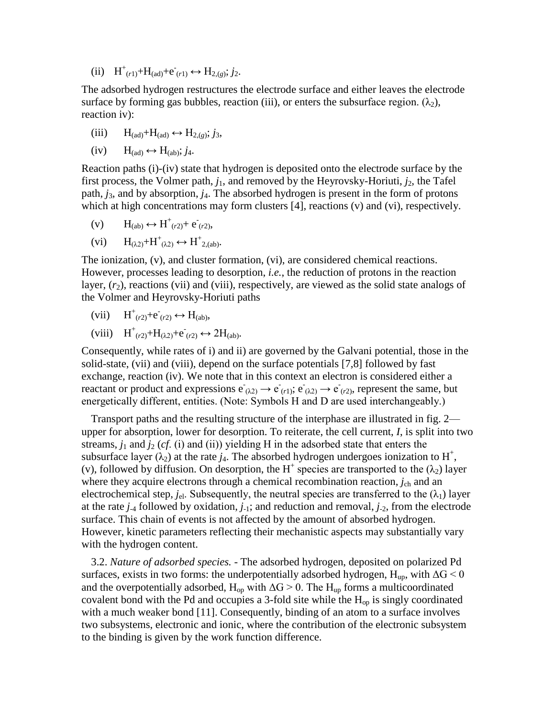(ii)  $H^+(r_1) + H^-(ad) + e^-(r_1) \leftrightarrow H^-(c_2)$ ; *j*<sub>2</sub>.

The adsorbed hydrogen restructures the electrode surface and either leaves the electrode surface by forming gas bubbles, reaction (iii), or enters the subsurface region. ( $\lambda_2$ ), reaction iv):

(iii)  $H_{(ad)} + H_{(ad)} \leftrightarrow H_{2,(g)}$ ; *j*<sub>3</sub>,

$$
(iv) \t H(ad) \leftrightarrow H(ab); j4.
$$

Reaction paths (i)-(iv) state that hydrogen is deposited onto the electrode surface by the first process, the Volmer path,  $j_1$ , and removed by the Heyrovsky-Horiuti,  $j_2$ , the Tafel path, *j*3, and by absorption, *j*4. The absorbed hydrogen is present in the form of protons which at high concentrations may form clusters [4], reactions (v) and (vi), respectively.

$$
(v) \t H(ab) \leftrightarrow H+(r2) + e-(r2),
$$

(vi)  $H_{(\lambda 2)} + H^+_{(\lambda 2)} \leftrightarrow H^+_{2,(\text{ab})}.$ 

The ionization, (v), and cluster formation, (vi), are considered chemical reactions. However, processes leading to desorption, *i.e.*, the reduction of protons in the reaction layer,  $(r_2)$ , reactions (vii) and (viii), respectively, are viewed as the solid state analogs of the Volmer and Heyrovsky-Horiuti paths

- $(vii)$   $H^+(r^2) + e^-(r^2) \leftrightarrow H^-(ab)$ ,
- (viii)  $H^+(R^2) + H^-(R^2) + e^-(R^2) \leftrightarrow 2H^-(R^2)$ .

Consequently, while rates of i) and ii) are governed by the Galvani potential, those in the solid-state, (vii) and (viii), depend on the surface potentials [7,8] followed by fast exchange, reaction (iv). We note that in this context an electron is considered either a reactant or product and expressions  $\vec{e}_{(\lambda 2)} \rightarrow \vec{e}_{(r1)}$ ;  $\vec{e}_{(\lambda 2)} \rightarrow \vec{e}_{(r2)}$ , represent the same, but energetically different, entities. (Note: Symbols H and D are used interchangeably.)

Transport paths and the resulting structure of the interphase are illustrated in fig. 2 upper for absorption, lower for desorption. To reiterate, the cell current, *I*, is split into two streams,  $j_1$  and  $j_2$  (*cf*. (i) and (ii)) yielding H in the adsorbed state that enters the subsurface layer ( $\lambda_2$ ) at the rate  $j_4$ . The absorbed hydrogen undergoes ionization to H<sup>+</sup>, (v), followed by diffusion. On desorption, the H<sup>+</sup> species are transported to the  $(\lambda_2)$  layer where they acquire electrons through a chemical recombination reaction, *j*<sub>ch</sub> and an electrochemical step,  $j_{el}$ . Subsequently, the neutral species are transferred to the  $(\lambda_1)$  layer at the rate *j*-4 followed by oxidation, *j*-1; and reduction and removal, *j*-2, from the electrode surface. This chain of events is not affected by the amount of absorbed hydrogen. However, kinetic parameters reflecting their mechanistic aspects may substantially vary with the hydrogen content.

3.2. *Nature of adsorbed species.* - The adsorbed hydrogen, deposited on polarized Pd surfaces, exists in two forms: the underpotentially adsorbed hydrogen,  $H_{up}$ , with  $\Delta G \le 0$ and the overpotentially adsorbed,  $H_{op}$  with  $\Delta G > 0$ . The  $H_{up}$  forms a multicoordinated covalent bond with the Pd and occupies a 3-fold site while the  $H_{op}$  is singly coordinated with a much weaker bond [11]. Consequently, binding of an atom to a surface involves two subsystems, electronic and ionic, where the contribution of the electronic subsystem to the binding is given by the work function difference.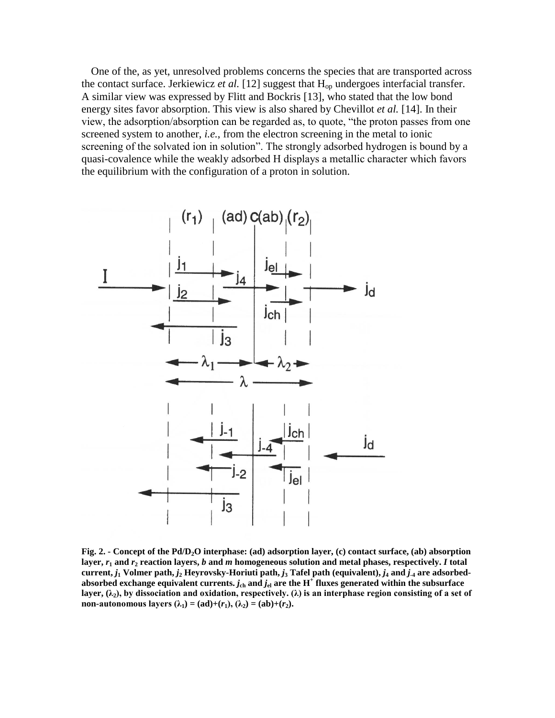One of the, as yet, unresolved problems concerns the species that are transported across the contact surface. Jerkiewicz et al. [12] suggest that H<sub>op</sub> undergoes interfacial transfer. A similar view was expressed by Flitt and Bockris [13], who stated that the low bond energy sites favor absorption. This view is also shared by Chevillot *et al.* [14]. In their view, the adsorption/absorption can be regarded as, to quote, "the proton passes from one screened system to another, *i.e.*, from the electron screening in the metal to ionic screening of the solvated ion in solution". The strongly adsorbed hydrogen is bound by a quasi-covalence while the weakly adsorbed H displays a metallic character which favors the equilibrium with the configuration of a proton in solution.



**Fig. 2. - Concept of the Pd/D2O interphase: (ad) adsorption layer, (c) contact surface, (ab) absorption layer,** *r***<sup>1</sup> and** *r***<sup>2</sup> reaction layers,** *b* **and** *m* **homogeneous solution and metal phases, respectively.** *I* **total** current,  $j_1$  Volmer path,  $j_2$  Heyrovsky-Horiuti path,  $j_3$  Tafel path (equivalent),  $j_4$  and  $j_4$  are adsorbedabsorbed exchange equivalent currents.  $j_{\rm ch}$  and  $j_{\rm el}$  are the  $\rm H^+$  fluxes generated within the subsurface layer, (λ<sub>2</sub>), by dissociation and oxidation, respectively. (λ) is an interphase region consisting of a set of **non-autonomous layers**  $(\lambda_1) = (ad)+(r_1), (\lambda_2) = (ab)+(r_2)$ .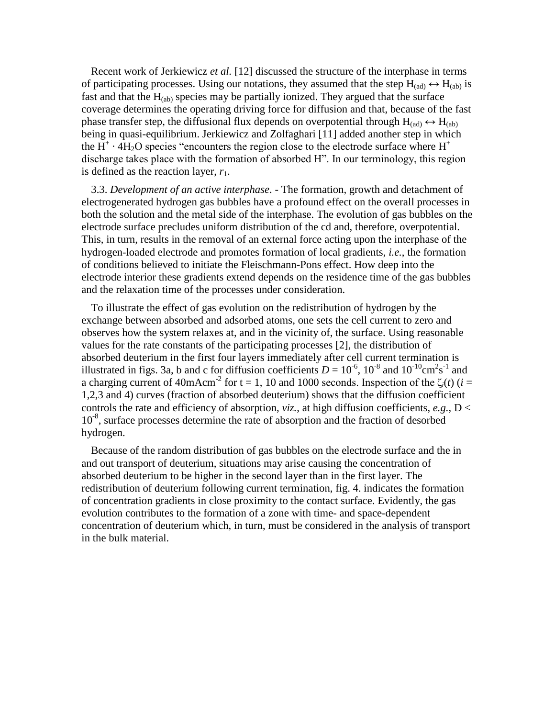Recent work of Jerkiewicz *et al.* [12] discussed the structure of the interphase in terms of participating processes. Using our notations, they assumed that the step  $H_{(ad)} \leftrightarrow H_{(ab)}$  is fast and that the  $H_{(ab)}$  species may be partially ionized. They argued that the surface coverage determines the operating driving force for diffusion and that, because of the fast phase transfer step, the diffusional flux depends on overpotential through  $H_{(ad)} \leftrightarrow H_{(ab)}$ being in quasi-equilibrium. Jerkiewicz and Zolfaghari [11] added another step in which the  $H^+ \cdot 4H_2O$  species "encounters the region close to the electrode surface where  $H^+$ discharge takes place with the formation of absorbed H". In our terminology, this region is defined as the reaction layer,  $r_1$ .

3.3. *Development of an active interphase*. - The formation, growth and detachment of electrogenerated hydrogen gas bubbles have a profound effect on the overall processes in both the solution and the metal side of the interphase. The evolution of gas bubbles on the electrode surface precludes uniform distribution of the cd and, therefore, overpotential. This, in turn, results in the removal of an external force acting upon the interphase of the hydrogen-loaded electrode and promotes formation of local gradients, *i.e.*, the formation of conditions believed to initiate the Fleischmann-Pons effect. How deep into the electrode interior these gradients extend depends on the residence time of the gas bubbles and the relaxation time of the processes under consideration.

To illustrate the effect of gas evolution on the redistribution of hydrogen by the exchange between absorbed and adsorbed atoms, one sets the cell current to zero and observes how the system relaxes at, and in the vicinity of, the surface. Using reasonable values for the rate constants of the participating processes [2], the distribution of absorbed deuterium in the first four layers immediately after cell current termination is illustrated in figs. 3a, b and c for diffusion coefficients  $D = 10^{-6}$ ,  $10^{-8}$  and  $10^{-10}$ cm<sup>2</sup>s<sup>-1</sup> and a charging current of  $40 \text{mAcm}^{-2}$  for t = 1, 10 and 1000 seconds. Inspection of the  $\zeta_i(t)$  (*i* = 1,2,3 and 4) curves (fraction of absorbed deuterium) shows that the diffusion coefficient controls the rate and efficiency of absorption,  $viz.$ , at high diffusion coefficients,  $e.g., D <$ 10<sup>-8</sup>, surface processes determine the rate of absorption and the fraction of desorbed hydrogen.

Because of the random distribution of gas bubbles on the electrode surface and the in and out transport of deuterium, situations may arise causing the concentration of absorbed deuterium to be higher in the second layer than in the first layer. The redistribution of deuterium following current termination, fig. 4. indicates the formation of concentration gradients in close proximity to the contact surface. Evidently, the gas evolution contributes to the formation of a zone with time- and space-dependent concentration of deuterium which, in turn, must be considered in the analysis of transport in the bulk material.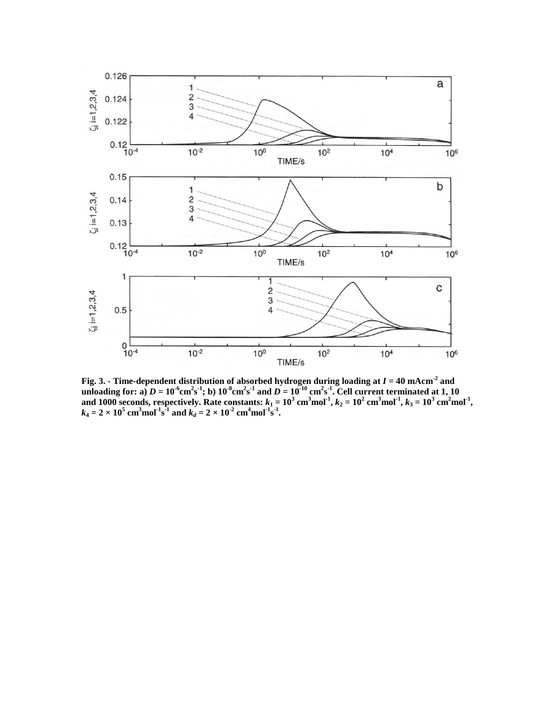

**Fig. 3. -** Time-dependent distribution of absorbed hydrogen during loading at  $I = 40 \text{ mAcm}^{-2}$  and unloading for: a)  $D = 10^{-6}$ cm<sup>2</sup>s<sup>-1</sup>; b)  $10^{-8}$ cm<sup>2</sup>s<sup>-1</sup> and  $D = 10^{-10}$  cm<sup>2</sup>s<sup>-1</sup>. Cell current terminated at 1, 10 and 1000 seconds, respectively. Rate constants:  $k_1 = 10^3$  cm<sup>3</sup>mol<sup>-1</sup>,  $k_2 = 10^2$  cm<sup>3</sup>mol<sup>-1</sup>,  $k_3 = 10^3$  cm<sup>2</sup>mol<sup>-1</sup>,  $k_4 = 2 \times 10^5$  cm<sup>3</sup>mol<sup>-1</sup>s<sup>-1</sup> and  $k_d = 2 \times 10^{-2}$  cm<sup>4</sup>mol<sup>-1</sup>s<sup>-1</sup>.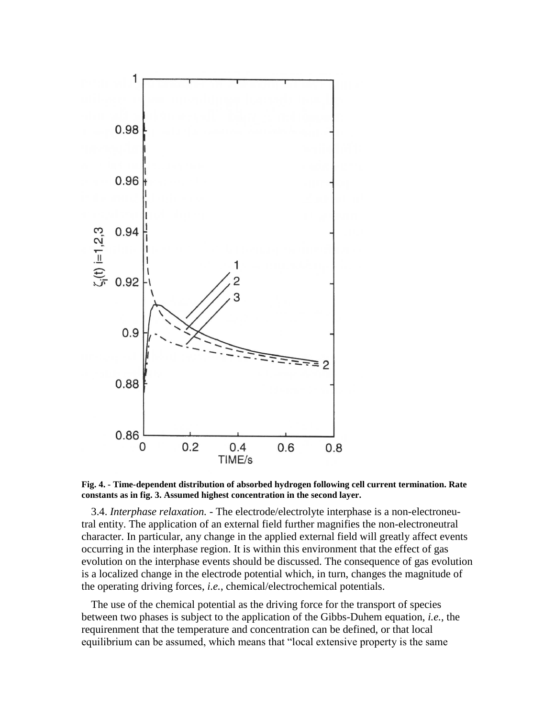



3.4. *Interphase relaxation.* - The electrode/electrolyte interphase is a non-electroneutral entity. The application of an external field further magnifies the non-electroneutral character. In particular, any change in the applied external field will greatly affect events occurring in the interphase region. It is within this environment that the effect of gas evolution on the interphase events should be discussed. The consequence of gas evolution is a localized change in the electrode potential which, in turn, changes the magnitude of the operating driving forces, *i.e.*, chemical/electrochemical potentials.

The use of the chemical potential as the driving force for the transport of species between two phases is subject to the application of the Gibbs-Duhem equation, *i.e.*, the requirenment that the temperature and concentration can be defined, or that local equilibrium can be assumed, which means that "local extensive property is the same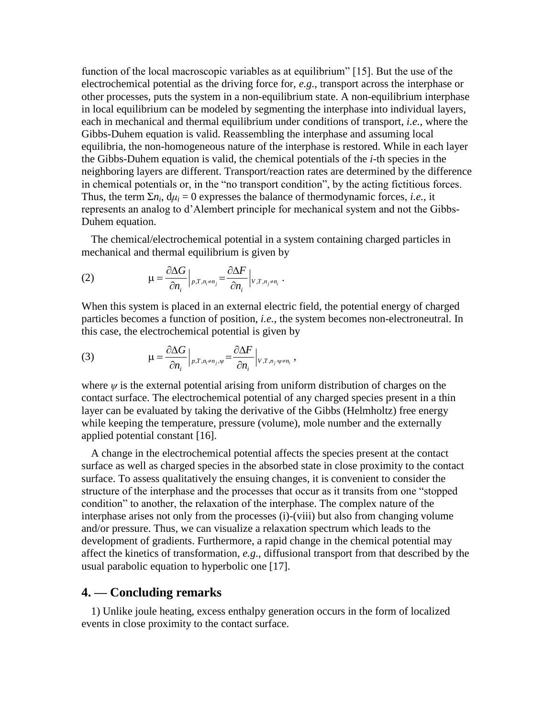function of the local macroscopic variables as at equilibrium" [15]. But the use of the electrochemical potential as the driving force for, *e.g.*, transport across the interphase or other processes, puts the system in a non-equilibrium state. A non-equilibrium interphase in local equilibrium can be modeled by segmenting the interphase into individual layers, each in mechanical and thermal equilibrium under conditions of transport, *i.e.*, where the Gibbs-Duhem equation is valid. Reassembling the interphase and assuming local equilibria, the non-homogeneous nature of the interphase is restored. While in each layer the Gibbs-Duhem equation is valid, the chemical potentials of the *i*-th species in the neighboring layers are different. Transport/reaction rates are determined by the difference in chemical potentials or, in the "no transport condition", by the acting fictitious forces. Thus, the term  $\Sigma n_i$ ,  $d\mu_i = 0$  expresses the balance of thermodynamic forces, *i.e.*, it represents an analog to d'Alembert principle for mechanical system and not the Gibbs-Duhem equation.

The chemical/electrochemical potential in a system containing charged particles in mechanical and thermal equilibrium is given by

(2) 
$$
\mu = \frac{\partial \Delta G}{\partial n_i} \bigg|_{p,T,n_i \neq n_j} = \frac{\partial \Delta F}{\partial n_i} \bigg|_{V,T,n_j \neq n_i}.
$$

When this system is placed in an external electric field, the potential energy of charged particles becomes a function of position, *i.e.*, the system becomes non-electroneutral. In this case, the electrochemical potential is given by

(3) 
$$
\mu = \frac{\partial \Delta G}{\partial n_i} \bigg|_{p,T,n_i \neq n_j, \psi} = \frac{\partial \Delta F}{\partial n_i} \bigg|_{V,T,n_j, \psi \neq n_i},
$$

where  $\psi$  is the external potential arising from uniform distribution of charges on the contact surface. The electrochemical potential of any charged species present in a thin layer can be evaluated by taking the derivative of the Gibbs (Helmholtz) free energy while keeping the temperature, pressure (volume), mole number and the externally applied potential constant [16].

A change in the electrochemical potential affects the species present at the contact surface as well as charged species in the absorbed state in close proximity to the contact surface. To assess qualitatively the ensuing changes, it is convenient to consider the structure of the interphase and the processes that occur as it transits from one "stopped condition" to another, the relaxation of the interphase. The complex nature of the interphase arises not only from the processes (i)-(viii) but also from changing volume and/or pressure. Thus, we can visualize a relaxation spectrum which leads to the development of gradients. Furthermore, a rapid change in the chemical potential may affect the kinetics of transformation, *e.g.*, diffusional transport from that described by the usual parabolic equation to hyperbolic one [17].

# **4. — Concluding remarks**

1) Unlike joule heating, excess enthalpy generation occurs in the form of localized events in close proximity to the contact surface.